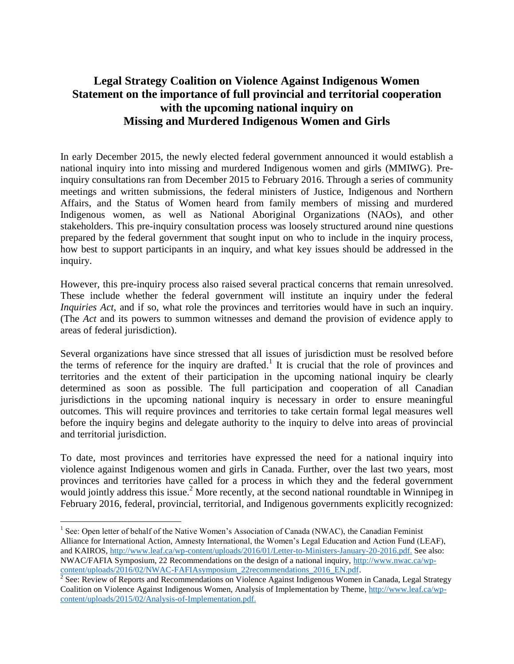## **Legal Strategy Coalition on Violence Against Indigenous Women Statement on the importance of full provincial and territorial cooperation with the upcoming national inquiry on Missing and Murdered Indigenous Women and Girls**

In early December 2015, the newly elected federal government announced it would establish a national inquiry into into missing and murdered Indigenous women and girls (MMIWG). Preinquiry consultations ran from December 2015 to February 2016. Through a series of community meetings and written submissions, the federal ministers of Justice, Indigenous and Northern Affairs, and the Status of Women heard from family members of missing and murdered Indigenous women, as well as National Aboriginal Organizations (NAOs), and other stakeholders. This pre-inquiry consultation process was loosely structured around nine questions prepared by the federal government that sought input on who to include in the inquiry process, how best to support participants in an inquiry, and what key issues should be addressed in the inquiry.

However, this pre-inquiry process also raised several practical concerns that remain unresolved. These include whether the federal government will institute an inquiry under the federal *Inquiries Act*, and if so, what role the provinces and territories would have in such an inquiry. (The *Act* and its powers to summon witnesses and demand the provision of evidence apply to areas of federal jurisdiction).

Several organizations have since stressed that all issues of jurisdiction must be resolved before the terms of reference for the inquiry are drafted.<sup>1</sup> It is crucial that the role of provinces and territories and the extent of their participation in the upcoming national inquiry be clearly determined as soon as possible. The full participation and cooperation of all Canadian jurisdictions in the upcoming national inquiry is necessary in order to ensure meaningful outcomes. This will require provinces and territories to take certain formal legal measures well before the inquiry begins and delegate authority to the inquiry to delve into areas of provincial and territorial jurisdiction.

To date, most provinces and territories have expressed the need for a national inquiry into violence against Indigenous women and girls in Canada. Further, over the last two years, most provinces and territories have called for a process in which they and the federal government would jointly address this issue.<sup>2</sup> More recently, at the second national roundtable in Winnipeg in February 2016, federal, provincial, territorial, and Indigenous governments explicitly recognized:

<sup>&</sup>lt;sup>1</sup> See: Open letter of behalf of the Native Women's Association of Canada (NWAC), the Canadian Feminist Alliance for International Action, Amnesty International, the Women's Legal Education and Action Fund (LEAF), and KAIROS, [http://www.leaf.ca/wp-content/uploads/2016/01/Letter-to-Ministers-January-20-2016.pdf.](http://www.leaf.ca/wp-content/uploads/2016/01/Letter-to-Ministers-January-20-2016.pdf) See also: NWAC/FAFIA Symposium, 22 Recommendations on the design of a national inquiry, [http://www.nwac.ca/wp-](http://www.nwac.ca/wp-content/uploads/2016/02/NWAC-FAFIAsymposium_22recommendations_2016_EN.pdf)

[content/uploads/2016/02/NWAC-FAFIAsymposium\\_22recommendations\\_2016\\_EN.pdf.](http://www.nwac.ca/wp-content/uploads/2016/02/NWAC-FAFIAsymposium_22recommendations_2016_EN.pdf)<br><sup>2</sup> See: Review of Reports and Recommendations on Violence Against Indigenous Women in Canada, Legal Strategy Coalition on Violence Against Indigenous Women, Analysis of Implementation by Theme, [http://www.leaf.ca/wp](http://www.leaf.ca/wp-content/uploads/2015/02/Analysis-of-Implementation.pdf)[content/uploads/2015/02/Analysis-of-Implementation.pdf.](http://www.leaf.ca/wp-content/uploads/2015/02/Analysis-of-Implementation.pdf)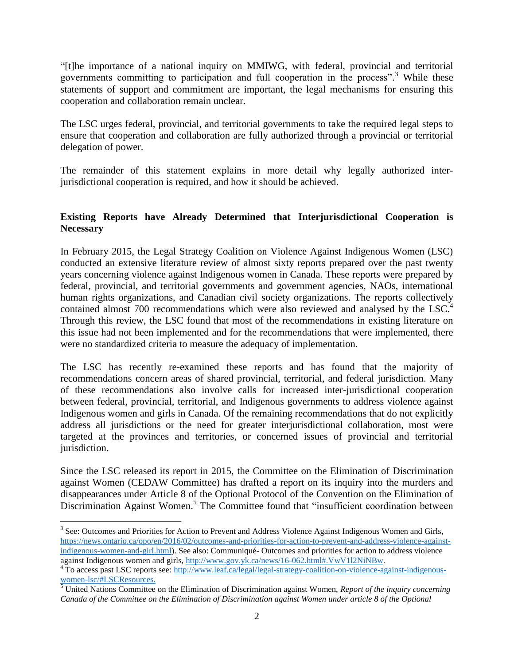"[t]he importance of a national inquiry on MMIWG, with federal, provincial and territorial governments committing to participation and full cooperation in the process".<sup>3</sup> While these statements of support and commitment are important, the legal mechanisms for ensuring this cooperation and collaboration remain unclear.

The LSC urges federal, provincial, and territorial governments to take the required legal steps to ensure that cooperation and collaboration are fully authorized through a provincial or territorial delegation of power.

The remainder of this statement explains in more detail why legally authorized interjurisdictional cooperation is required, and how it should be achieved.

## **Existing Reports have Already Determined that Interjurisdictional Cooperation is Necessary**

In February 2015, the Legal Strategy Coalition on Violence Against Indigenous Women (LSC) conducted an extensive literature review of almost sixty reports prepared over the past twenty years concerning violence against Indigenous women in Canada. These reports were prepared by federal, provincial, and territorial governments and government agencies, NAOs, international human rights organizations, and Canadian civil society organizations. The reports collectively contained almost 700 recommendations which were also reviewed and analysed by the LSC.<sup>4</sup> Through this review, the LSC found that most of the recommendations in existing literature on this issue had not been implemented and for the recommendations that were implemented, there were no standardized criteria to measure the adequacy of implementation.

The LSC has recently re-examined these reports and has found that the majority of recommendations concern areas of shared provincial, territorial, and federal jurisdiction. Many of these recommendations also involve calls for increased inter-jurisdictional cooperation between federal, provincial, territorial, and Indigenous governments to address violence against Indigenous women and girls in Canada. Of the remaining recommendations that do not explicitly address all jurisdictions or the need for greater interjurisdictional collaboration, most were targeted at the provinces and territories, or concerned issues of provincial and territorial jurisdiction.

Since the LSC released its report in 2015, the Committee on the Elimination of Discrimination against Women (CEDAW Committee) has drafted a report on its inquiry into the murders and disappearances under Article 8 of the Optional Protocol of the Convention on the Elimination of Discrimination Against Women.<sup>5</sup> The Committee found that "insufficient coordination between

<sup>&</sup>lt;sup>3</sup> See: Outcomes and Priorities for Action to Prevent and Address Violence Against Indigenous Women and Girls, [https://news.ontario.ca/opo/en/2016/02/outcomes-and-priorities-for-action-to-prevent-and-address-violence-against](https://news.ontario.ca/opo/en/2016/02/outcomes-and-priorities-for-action-to-prevent-and-address-violence-against-indigenous-women-and-girl.html)[indigenous-women-and-girl.html\)](https://news.ontario.ca/opo/en/2016/02/outcomes-and-priorities-for-action-to-prevent-and-address-violence-against-indigenous-women-and-girl.html). See also: Communiqué- Outcomes and priorities for action to address violence against Indigenous women and girls, [http://www.gov.yk.ca/news/16-062.html#.VwV1l2NiNBw.](http://www.gov.yk.ca/news/16-062.html#.VwV1l2NiNBw)

<sup>&</sup>lt;sup>4</sup> To access past LSC reports see: [http://www.leaf.ca/legal/legal-strategy-coalition-on-violence-against-indigenous](http://www.leaf.ca/legal/legal-strategy-coalition-on-violence-against-indigenous-women-lsc/#LSCResources)[women-lsc/#LSCResources.](http://www.leaf.ca/legal/legal-strategy-coalition-on-violence-against-indigenous-women-lsc/#LSCResources)

<sup>5</sup> United Nations Committee on the Elimination of Discrimination against Women, *Report of the inquiry concerning Canada of the Committee on the Elimination of Discrimination against Women under article 8 of the Optional*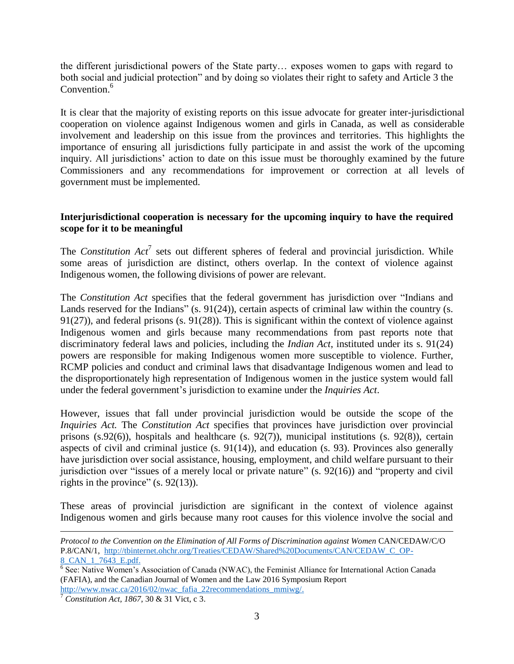the different jurisdictional powers of the State party… exposes women to gaps with regard to both social and judicial protection" and by doing so violates their right to safety and Article 3 the Convention.<sup>6</sup>

It is clear that the majority of existing reports on this issue advocate for greater inter-jurisdictional cooperation on violence against Indigenous women and girls in Canada, as well as considerable involvement and leadership on this issue from the provinces and territories. This highlights the importance of ensuring all jurisdictions fully participate in and assist the work of the upcoming inquiry. All jurisdictions' action to date on this issue must be thoroughly examined by the future Commissioners and any recommendations for improvement or correction at all levels of government must be implemented.

## **Interjurisdictional cooperation is necessary for the upcoming inquiry to have the required scope for it to be meaningful**

The *Constitution*  $Act^7$  sets out different spheres of federal and provincial jurisdiction. While some areas of jurisdiction are distinct, others overlap. In the context of violence against Indigenous women, the following divisions of power are relevant.

The *Constitution Act* specifies that the federal government has jurisdiction over "Indians and Lands reserved for the Indians" (s. 91(24)), certain aspects of criminal law within the country (s. 91(27)), and federal prisons (s. 91(28)). This is significant within the context of violence against Indigenous women and girls because many recommendations from past reports note that discriminatory federal laws and policies, including the *Indian Act*, instituted under its s. 91(24) powers are responsible for making Indigenous women more susceptible to violence. Further, RCMP policies and conduct and criminal laws that disadvantage Indigenous women and lead to the disproportionately high representation of Indigenous women in the justice system would fall under the federal government's jurisdiction to examine under the *Inquiries Act*.

However, issues that fall under provincial jurisdiction would be outside the scope of the *Inquiries Act.* The *Constitution Act* specifies that provinces have jurisdiction over provincial prisons (s.92(6)), hospitals and healthcare (s. 92(7)), municipal institutions (s. 92(8)), certain aspects of civil and criminal justice (s. 91(14)), and education (s. 93). Provinces also generally have jurisdiction over social assistance, housing, employment, and child welfare pursuant to their jurisdiction over "issues of a merely local or private nature" (s. 92(16)) and "property and civil rights in the province"  $(s. 92(13))$ .

These areas of provincial jurisdiction are significant in the context of violence against Indigenous women and girls because many root causes for this violence involve the social and

 $\overline{a}$ *Protocol to the Convention on the Elimination of All Forms of Discrimination against Women* CAN/CEDAW/C/O P.8/CAN/1, [http://tbinternet.ohchr.org/Treaties/CEDAW/Shared%20Documents/CAN/CEDAW\\_C\\_OP-](http://tbinternet.ohchr.org/Treaties/CEDAW/Shared%20Documents/CAN/CEDAW_C_OP-8_CAN_1_7643_E.pdf)8 CAN 1 7643 E.pdf.

<sup>&</sup>lt;sup>6</sup> See: Native Women's Association of Canada (NWAC), the Feminist Alliance for International Action Canada (FAFIA), and the Canadian Journal of Women and the Law 2016 Symposium Report [http://www.nwac.ca/2016/02/nwac\\_fafia\\_22recommendations\\_mmiwg/.](http://www.nwac.ca/2016/02/nwac_fafia_22recommendations_mmiwg/)

<sup>7</sup> *Constitution Act, 1867*, 30 & 31 Vict, c 3.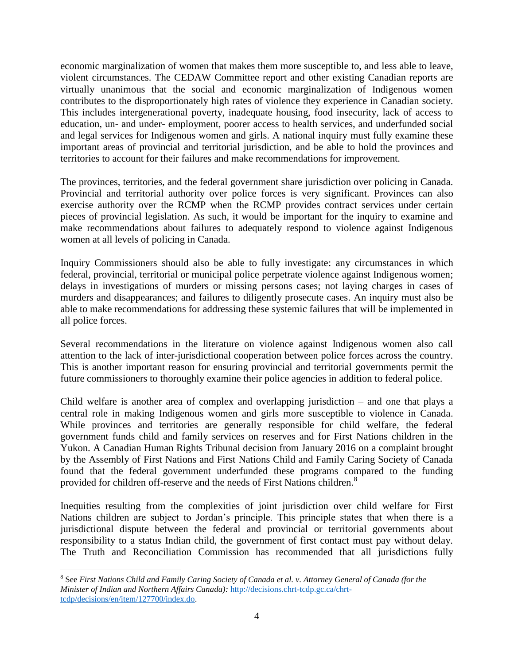economic marginalization of women that makes them more susceptible to, and less able to leave, violent circumstances. The CEDAW Committee report and other existing Canadian reports are virtually unanimous that the social and economic marginalization of Indigenous women contributes to the disproportionately high rates of violence they experience in Canadian society. This includes intergenerational poverty, inadequate housing, food insecurity, lack of access to education, un- and under- employment, poorer access to health services, and underfunded social and legal services for Indigenous women and girls. A national inquiry must fully examine these important areas of provincial and territorial jurisdiction, and be able to hold the provinces and territories to account for their failures and make recommendations for improvement.

The provinces, territories, and the federal government share jurisdiction over policing in Canada. Provincial and territorial authority over police forces is very significant. Provinces can also exercise authority over the RCMP when the RCMP provides contract services under certain pieces of provincial legislation. As such, it would be important for the inquiry to examine and make recommendations about failures to adequately respond to violence against Indigenous women at all levels of policing in Canada.

Inquiry Commissioners should also be able to fully investigate: any circumstances in which federal, provincial, territorial or municipal police perpetrate violence against Indigenous women; delays in investigations of murders or missing persons cases; not laying charges in cases of murders and disappearances; and failures to diligently prosecute cases. An inquiry must also be able to make recommendations for addressing these systemic failures that will be implemented in all police forces.

Several recommendations in the literature on violence against Indigenous women also call attention to the lack of inter-jurisdictional cooperation between police forces across the country. This is another important reason for ensuring provincial and territorial governments permit the future commissioners to thoroughly examine their police agencies in addition to federal police.

Child welfare is another area of complex and overlapping jurisdiction – and one that plays a central role in making Indigenous women and girls more susceptible to violence in Canada. While provinces and territories are generally responsible for child welfare, the federal government funds child and family services on reserves and for First Nations children in the Yukon. A Canadian Human Rights Tribunal decision from January 2016 on a complaint brought by the Assembly of First Nations and First Nations Child and Family Caring Society of Canada found that the federal government underfunded these programs compared to the funding provided for children off-reserve and the needs of First Nations children.<sup>8</sup>

Inequities resulting from the complexities of joint jurisdiction over child welfare for First Nations children are subject to Jordan's principle. This principle states that when there is a jurisdictional dispute between the federal and provincial or territorial governments about responsibility to a status Indian child, the government of first contact must pay without delay. The Truth and Reconciliation Commission has recommended that all jurisdictions fully

 $\overline{a}$ <sup>8</sup> See *First Nations Child and Family Caring Society of Canada et al. v. Attorney General of Canada (for the Minister of Indian and Northern Affairs Canada):* [http://decisions.chrt-tcdp.gc.ca/chrt](http://decisions.chrt-tcdp.gc.ca/chrt-tcdp/decisions/en/item/127700/index.do)[tcdp/decisions/en/item/127700/index.do.](http://decisions.chrt-tcdp.gc.ca/chrt-tcdp/decisions/en/item/127700/index.do)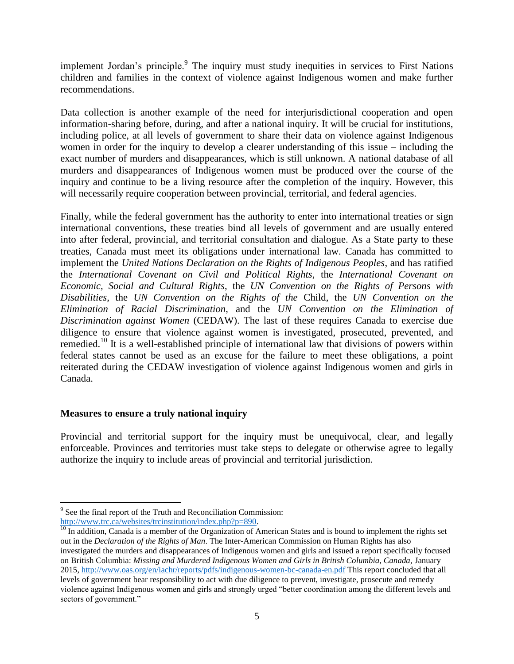implement Jordan's principle.<sup>9</sup> The inquiry must study inequities in services to First Nations children and families in the context of violence against Indigenous women and make further recommendations.

Data collection is another example of the need for interjurisdictional cooperation and open information-sharing before, during, and after a national inquiry. It will be crucial for institutions, including police, at all levels of government to share their data on violence against Indigenous women in order for the inquiry to develop a clearer understanding of this issue – including the exact number of murders and disappearances, which is still unknown. A national database of all murders and disappearances of Indigenous women must be produced over the course of the inquiry and continue to be a living resource after the completion of the inquiry. However, this will necessarily require cooperation between provincial, territorial, and federal agencies.

Finally, while the federal government has the authority to enter into international treaties or sign international conventions, these treaties bind all levels of government and are usually entered into after federal, provincial, and territorial consultation and dialogue. As a State party to these treaties, Canada must meet its obligations under international law. Canada has committed to implement the *United Nations Declaration on the Rights of Indigenous Peoples*, and has ratified the *International Covenant on Civil and Political Rights*, the *International Covenant on Economic, Social and Cultural Rights*, the *UN Convention on the Rights of Persons with Disabilities*, the *UN Convention on the Rights of the* Child, the *UN Convention on the Elimination of Racial Discrimination*, and the *UN Convention on the Elimination of Discrimination against Women* (CEDAW). The last of these requires Canada to exercise due diligence to ensure that violence against women is investigated, prosecuted, prevented, and remedied.<sup>10</sup> It is a well-established principle of international law that divisions of powers within federal states cannot be used as an excuse for the failure to meet these obligations, a point reiterated during the CEDAW investigation of violence against Indigenous women and girls in Canada.

## **Measures to ensure a truly national inquiry**

Provincial and territorial support for the inquiry must be unequivocal, clear, and legally enforceable. Provinces and territories must take steps to delegate or otherwise agree to legally authorize the inquiry to include areas of provincial and territorial jurisdiction.

 $\overline{a}$ <sup>9</sup> See the final report of the Truth and Reconciliation Commission: [http://www.trc.ca/websites/trcinstitution/index.php?p=890.](http://www.trc.ca/websites/trcinstitution/index.php?p=890)

 $\frac{10}{10}$  In addition, Canada is a member of the Organization of American States and is bound to implement the rights set out in the *Declaration of the Rights of Man*. The Inter-American Commission on Human Rights has also investigated the murders and disappearances of Indigenous women and girls and issued a report specifically focused on British Columbia: *Missing and Murdered Indigenous Women and Girls in British Columbia, Canada,* January 2015,<http://www.oas.org/en/iachr/reports/pdfs/indigenous-women-bc-canada-en.pdf> This report concluded that all levels of government bear responsibility to act with due diligence to prevent, investigate, prosecute and remedy violence against Indigenous women and girls and strongly urged "better coordination among the different levels and sectors of government."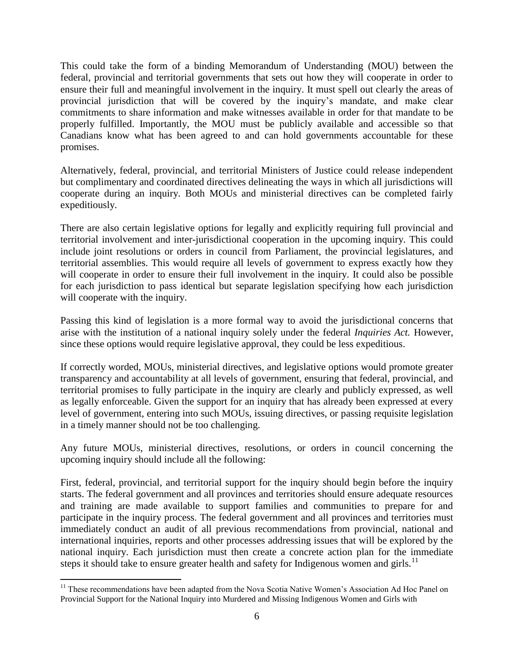This could take the form of a binding Memorandum of Understanding (MOU) between the federal, provincial and territorial governments that sets out how they will cooperate in order to ensure their full and meaningful involvement in the inquiry. It must spell out clearly the areas of provincial jurisdiction that will be covered by the inquiry's mandate, and make clear commitments to share information and make witnesses available in order for that mandate to be properly fulfilled. Importantly, the MOU must be publicly available and accessible so that Canadians know what has been agreed to and can hold governments accountable for these promises.

Alternatively, federal, provincial, and territorial Ministers of Justice could release independent but complimentary and coordinated directives delineating the ways in which all jurisdictions will cooperate during an inquiry. Both MOUs and ministerial directives can be completed fairly expeditiously.

There are also certain legislative options for legally and explicitly requiring full provincial and territorial involvement and inter-jurisdictional cooperation in the upcoming inquiry. This could include joint resolutions or orders in council from Parliament, the provincial legislatures, and territorial assemblies. This would require all levels of government to express exactly how they will cooperate in order to ensure their full involvement in the inquiry. It could also be possible for each jurisdiction to pass identical but separate legislation specifying how each jurisdiction will cooperate with the inquiry.

Passing this kind of legislation is a more formal way to avoid the jurisdictional concerns that arise with the institution of a national inquiry solely under the federal *Inquiries Act.* However, since these options would require legislative approval, they could be less expeditious.

If correctly worded, MOUs, ministerial directives, and legislative options would promote greater transparency and accountability at all levels of government, ensuring that federal, provincial, and territorial promises to fully participate in the inquiry are clearly and publicly expressed, as well as legally enforceable. Given the support for an inquiry that has already been expressed at every level of government, entering into such MOUs, issuing directives, or passing requisite legislation in a timely manner should not be too challenging.

Any future MOUs, ministerial directives, resolutions, or orders in council concerning the upcoming inquiry should include all the following:

First, federal, provincial, and territorial support for the inquiry should begin before the inquiry starts. The federal government and all provinces and territories should ensure adequate resources and training are made available to support families and communities to prepare for and participate in the inquiry process. The federal government and all provinces and territories must immediately conduct an audit of all previous recommendations from provincial, national and international inquiries, reports and other processes addressing issues that will be explored by the national inquiry. Each jurisdiction must then create a concrete action plan for the immediate steps it should take to ensure greater health and safety for Indigenous women and girls.<sup>11</sup>

 $\overline{a}$ <sup>11</sup> These recommendations have been adapted from the Nova Scotia Native Women's Association Ad Hoc Panel on Provincial Support for the National Inquiry into Murdered and Missing Indigenous Women and Girls with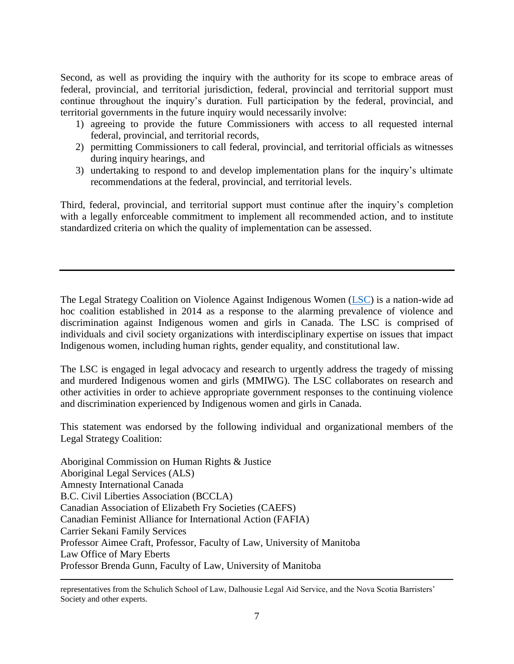Second, as well as providing the inquiry with the authority for its scope to embrace areas of federal, provincial, and territorial jurisdiction, federal, provincial and territorial support must continue throughout the inquiry's duration. Full participation by the federal, provincial, and territorial governments in the future inquiry would necessarily involve:

- 1) agreeing to provide the future Commissioners with access to all requested internal federal, provincial, and territorial records,
- 2) permitting Commissioners to call federal, provincial, and territorial officials as witnesses during inquiry hearings, and
- 3) undertaking to respond to and develop implementation plans for the inquiry's ultimate recommendations at the federal, provincial, and territorial levels.

Third, federal, provincial, and territorial support must continue after the inquiry's completion with a legally enforceable commitment to implement all recommended action, and to institute standardized criteria on which the quality of implementation can be assessed.

The Legal Strategy Coalition on Violence Against Indigenous Women [\(LSC\)](http://www.leaf.ca/legal/legal-strategy-coalition-on-violence-against-indigenous-women-lsc/) is a nation-wide ad hoc coalition established in 2014 as a response to the alarming prevalence of violence and discrimination against Indigenous women and girls in Canada. The LSC is comprised of individuals and civil society organizations with interdisciplinary expertise on issues that impact Indigenous women, including human rights, gender equality, and constitutional law.

The LSC is engaged in legal advocacy and research to urgently address the tragedy of missing and murdered Indigenous women and girls (MMIWG). The LSC collaborates on research and other activities in order to achieve appropriate government responses to the continuing violence and discrimination experienced by Indigenous women and girls in Canada.

This statement was endorsed by the following individual and organizational members of the Legal Strategy Coalition:

Aboriginal Commission on Human Rights & Justice Aboriginal Legal Services (ALS) Amnesty International Canada B.C. Civil Liberties Association (BCCLA) Canadian Association of Elizabeth Fry Societies (CAEFS) Canadian Feminist Alliance for International Action (FAFIA) Carrier Sekani Family Services Professor Aimee Craft, Professor, Faculty of Law, University of Manitoba Law Office of Mary Eberts Professor Brenda Gunn, Faculty of Law, University of Manitoba

 $\overline{a}$ representatives from the Schulich School of Law, Dalhousie Legal Aid Service, and the Nova Scotia Barristers' Society and other experts.